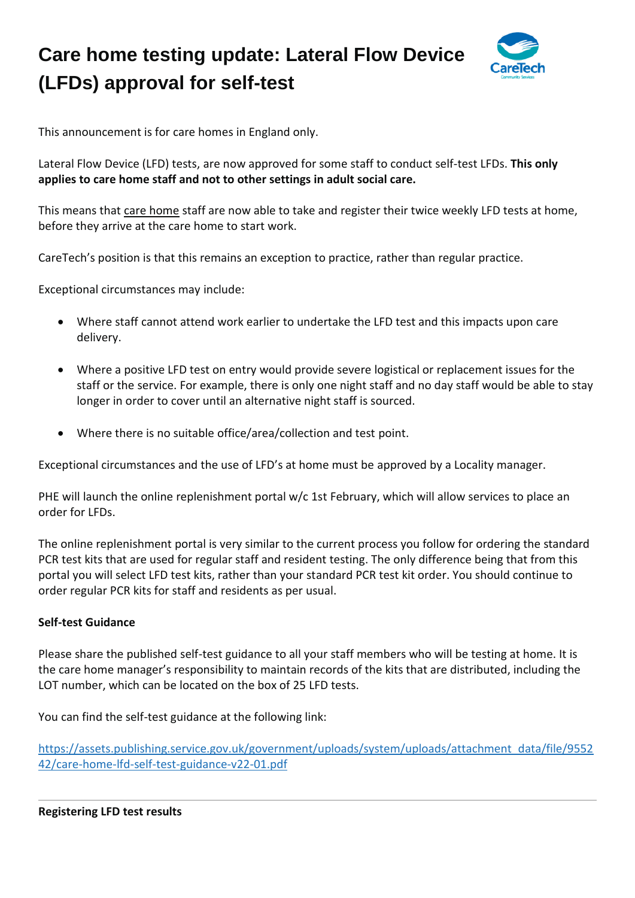## **Care home testing update: Lateral Flow Device (LFDs) approval for self-test**



This announcement is for care homes in England only.

Lateral Flow Device (LFD) tests, are now approved for some staff to conduct self-test LFDs. **This only applies to care home staff and not to other settings in adult social care.**

This means that care home staff are now able to take and register their twice weekly LFD tests at home, before they arrive at the care home to start work.

CareTech's position is that this remains an exception to practice, rather than regular practice.

Exceptional circumstances may include:

- Where staff cannot attend work earlier to undertake the LFD test and this impacts upon care delivery.
- Where a positive LFD test on entry would provide severe logistical or replacement issues for the staff or the service. For example, there is only one night staff and no day staff would be able to stay longer in order to cover until an alternative night staff is sourced.
- Where there is no suitable office/area/collection and test point.

Exceptional circumstances and the use of LFD's at home must be approved by a Locality manager.

PHE will launch the online replenishment portal w/c 1st February, which will allow services to place an order for LFDs.

The online replenishment portal is very similar to the current process you follow for ordering the standard PCR test kits that are used for regular staff and resident testing. The only difference being that from this portal you will select LFD test kits, rather than your standard PCR test kit order. You should continue to order regular PCR kits for staff and residents as per usual.

## **Self-test Guidance**

Please share the published self-test guidance to all your staff members who will be testing at home. It is the care home manager's responsibility to maintain records of the kits that are distributed, including the LOT number, which can be located on the box of 25 LFD tests.

You can find the self-test guidance at the following link:

[https://assets.publishing.service.gov.uk/government/uploads/system/uploads/attachment\\_data/file/9552](https://eur01.safelinks.protection.outlook.com/?url=https%3A%2F%2Fassets.publishing.service.gov.uk%2Fgovernment%2Fuploads%2Fsystem%2Fuploads%2Fattachment_data%2Ffile%2F955242%2Fcare-home-lfd-self-test-guidance-v22-01.pdf&data=04%7C01%7Cgrosvenorcourt.kent%40caretech-uk.com%7C727bb2bafca0457caab808d8c12eeed2%7Cb3d2d79e10dc403682538f2b33328731%7C0%7C0%7C637471754610126104%7CUnknown%7CTWFpbGZsb3d8eyJWIjoiMC4wLjAwMDAiLCJQIjoiV2luMzIiLCJBTiI6Ik1haWwiLCJXVCI6Mn0%3D%7C1000&sdata=Dt4aQim5AFxduYJp%2BK%2BH0vIy9Ntjj5haeiwKF0gtldE%3D&reserved=0) [42/care-home-lfd-self-test-guidance-v22-01.pdf](https://eur01.safelinks.protection.outlook.com/?url=https%3A%2F%2Fassets.publishing.service.gov.uk%2Fgovernment%2Fuploads%2Fsystem%2Fuploads%2Fattachment_data%2Ffile%2F955242%2Fcare-home-lfd-self-test-guidance-v22-01.pdf&data=04%7C01%7Cgrosvenorcourt.kent%40caretech-uk.com%7C727bb2bafca0457caab808d8c12eeed2%7Cb3d2d79e10dc403682538f2b33328731%7C0%7C0%7C637471754610126104%7CUnknown%7CTWFpbGZsb3d8eyJWIjoiMC4wLjAwMDAiLCJQIjoiV2luMzIiLCJBTiI6Ik1haWwiLCJXVCI6Mn0%3D%7C1000&sdata=Dt4aQim5AFxduYJp%2BK%2BH0vIy9Ntjj5haeiwKF0gtldE%3D&reserved=0)